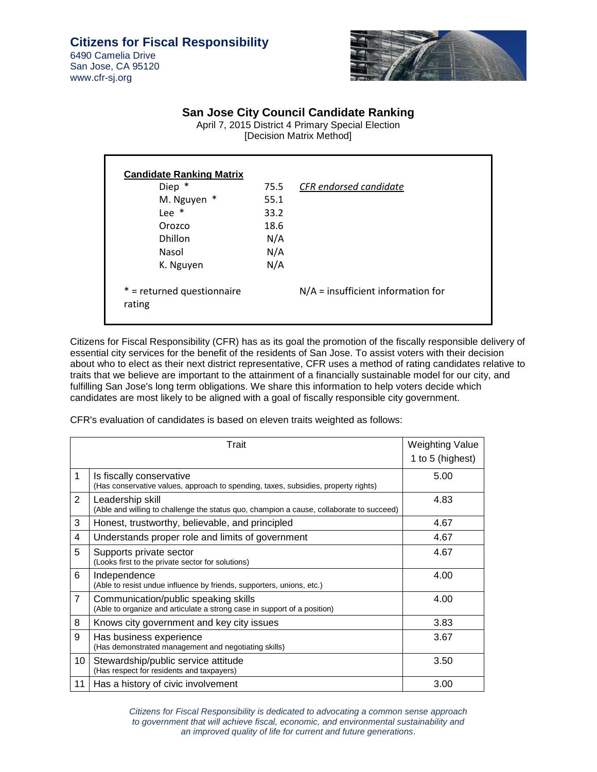San Jose, CA 95120 www.cfr-sj.org



## **San Jose City Council Candidate Ranking**

April 7, 2015 District 4 Primary Special Election [Decision Matrix Method]

| ∗<br>Diep                  | 75.5 | CFR endorsed candidate               |
|----------------------------|------|--------------------------------------|
| M. Nguyen *                | 55.1 |                                      |
| Lee $*$                    | 33.2 |                                      |
| Orozco                     | 18.6 |                                      |
| <b>Dhillon</b>             | N/A  |                                      |
| Nasol                      | N/A  |                                      |
| K. Nguyen                  | N/A  |                                      |
| * = returned questionnaire |      | $N/A$ = insufficient information for |
| rating                     |      |                                      |

Citizens for Fiscal Responsibility (CFR) has as its goal the promotion of the fiscally responsible delivery of essential city services for the benefit of the residents of San Jose. To assist voters with their decision about who to elect as their next district representative, CFR uses a method of rating candidates relative to traits that we believe are important to the attainment of a financially sustainable model for our city, and fulfilling San Jose's long term obligations. We share this information to help voters decide which candidates are most likely to be aligned with a goal of fiscally responsible city government.

CFR's evaluation of candidates is based on eleven traits weighted as follows:

|                | Trait                                                                                                            | <b>Weighting Value</b> |
|----------------|------------------------------------------------------------------------------------------------------------------|------------------------|
|                |                                                                                                                  | 1 to 5 (highest)       |
| 1              | Is fiscally conservative<br>(Has conservative values, approach to spending, taxes, subsidies, property rights)   | 5.00                   |
| $\overline{2}$ | Leadership skill<br>(Able and willing to challenge the status quo, champion a cause, collaborate to succeed)     | 4.83                   |
| 3              | Honest, trustworthy, believable, and principled                                                                  | 4.67                   |
| 4              | Understands proper role and limits of government                                                                 | 4.67                   |
| 5              | Supports private sector<br>(Looks first to the private sector for solutions)                                     | 4.67                   |
| 6              | Independence<br>(Able to resist undue influence by friends, supporters, unions, etc.)                            | 4.00                   |
| $\overline{7}$ | Communication/public speaking skills<br>(Able to organize and articulate a strong case in support of a position) | 4.00                   |
| 8              | Knows city government and key city issues                                                                        | 3.83                   |
| 9              | Has business experience<br>(Has demonstrated management and negotiating skills)                                  | 3.67                   |
| 10             | Stewardship/public service attitude<br>(Has respect for residents and taxpayers)                                 | 3.50                   |
| 11             | Has a history of civic involvement                                                                               | 3.00                   |

Citizens for Fiscal Responsibility is dedicated to advocating a common sense approach to government that will achieve fiscal, economic, and environmental sustainability and an improved quality of life for current and future generations.